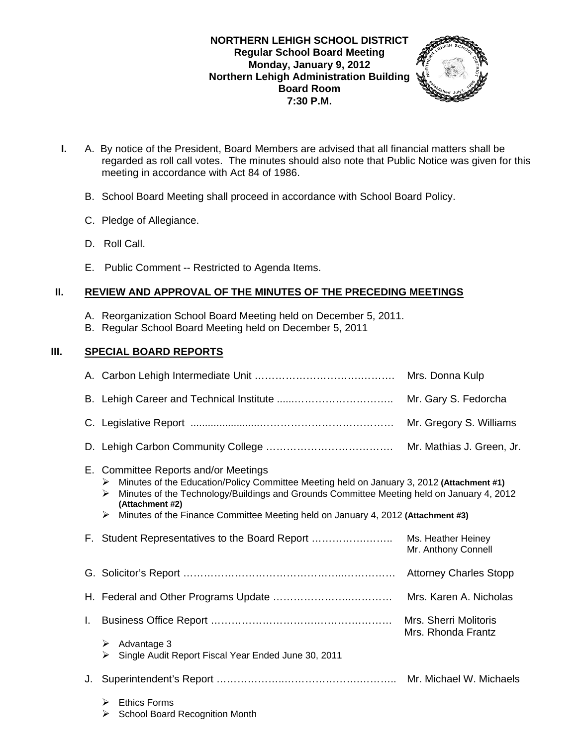## **NORTHERN LEHIGH SCHOOL DISTRICT Regular School Board Meeting Monday, January 9, 2012 Northern Lehigh Administration Building Board Room 7:30 P.M.**



- **I.** A. By notice of the President, Board Members are advised that all financial matters shall be regarded as roll call votes. The minutes should also note that Public Notice was given for this meeting in accordance with Act 84 of 1986.
	- B. School Board Meeting shall proceed in accordance with School Board Policy.
	- C. Pledge of Allegiance.
	- D. Roll Call.
	- E. Public Comment -- Restricted to Agenda Items.

## **II. REVIEW AND APPROVAL OF THE MINUTES OF THE PRECEDING MEETINGS**

- A. Reorganization School Board Meeting held on December 5, 2011.
- B. Regular School Board Meeting held on December 5, 2011

## **III. SPECIAL BOARD REPORTS**

|    |                                                                                                                                                                                                                                                                                                                                                      | Mrs. Donna Kulp                           |  |
|----|------------------------------------------------------------------------------------------------------------------------------------------------------------------------------------------------------------------------------------------------------------------------------------------------------------------------------------------------------|-------------------------------------------|--|
|    |                                                                                                                                                                                                                                                                                                                                                      | Mr. Gary S. Fedorcha                      |  |
|    |                                                                                                                                                                                                                                                                                                                                                      | Mr. Gregory S. Williams                   |  |
|    |                                                                                                                                                                                                                                                                                                                                                      | Mr. Mathias J. Green, Jr.                 |  |
|    | E. Committee Reports and/or Meetings<br>Minutes of the Education/Policy Committee Meeting held on January 3, 2012 (Attachment #1)<br>➤<br>Minutes of the Technology/Buildings and Grounds Committee Meeting held on January 4, 2012<br>⋗<br>(Attachment #2)<br>Minutes of the Finance Committee Meeting held on January 4, 2012 (Attachment #3)<br>➤ |                                           |  |
|    | F. Student Representatives to the Board Report                                                                                                                                                                                                                                                                                                       | Ms. Heather Heiney<br>Mr. Anthony Connell |  |
|    |                                                                                                                                                                                                                                                                                                                                                      |                                           |  |
|    | Mrs. Karen A. Nicholas                                                                                                                                                                                                                                                                                                                               |                                           |  |
| L. | Mrs. Sherri Molitoris                                                                                                                                                                                                                                                                                                                                |                                           |  |
|    | Advantage 3<br>➤<br>Single Audit Report Fiscal Year Ended June 30, 2011<br>⋗                                                                                                                                                                                                                                                                         | Mrs. Rhonda Frantz                        |  |
| J. |                                                                                                                                                                                                                                                                                                                                                      |                                           |  |
|    | <b>Ethics Forms</b><br>➤<br><b>School Board Recognition Month</b><br>⋗                                                                                                                                                                                                                                                                               |                                           |  |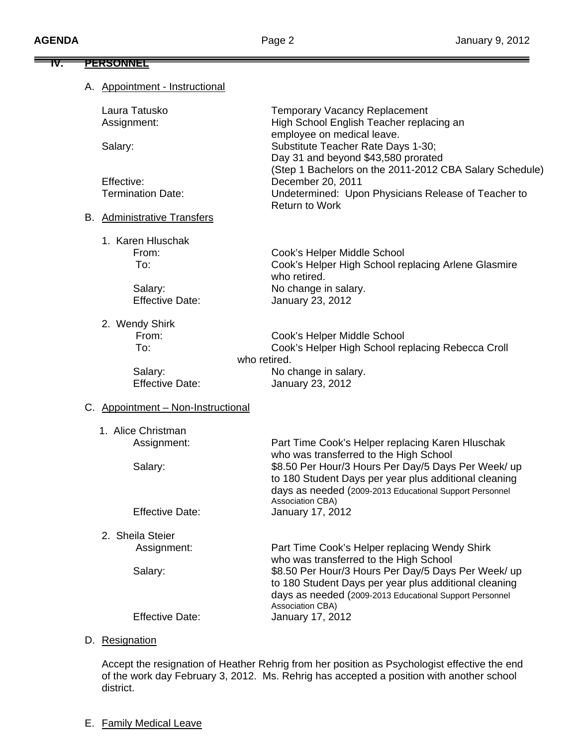| <u>PERSONNEL</u>                   |                                                                                               |
|------------------------------------|-----------------------------------------------------------------------------------------------|
| A. Appointment - Instructional     |                                                                                               |
| Laura Tatusko                      | <b>Temporary Vacancy Replacement</b>                                                          |
| Assignment:                        | High School English Teacher replacing an<br>employee on medical leave.                        |
| Salary:                            | Substitute Teacher Rate Days 1-30;                                                            |
|                                    | Day 31 and beyond \$43,580 prorated                                                           |
| Effective:                         | (Step 1 Bachelors on the 2011-2012 CBA Salary Schedule)<br>December 20, 2011                  |
| <b>Termination Date:</b>           | Undetermined: Upon Physicians Release of Teacher to                                           |
|                                    | <b>Return to Work</b>                                                                         |
| <b>B.</b> Administrative Transfers |                                                                                               |
| 1. Karen Hluschak                  |                                                                                               |
| From:                              | Cook's Helper Middle School                                                                   |
| To:                                | Cook's Helper High School replacing Arlene Glasmire<br>who retired.                           |
| Salary:                            | No change in salary.                                                                          |
| <b>Effective Date:</b>             | January 23, 2012                                                                              |
| 2. Wendy Shirk                     |                                                                                               |
| From:                              | Cook's Helper Middle School                                                                   |
| To:                                | Cook's Helper High School replacing Rebecca Croll<br>who retired.                             |
| Salary:                            | No change in salary.                                                                          |
| <b>Effective Date:</b>             | January 23, 2012                                                                              |
| C. Appointment - Non-Instructional |                                                                                               |
| 1. Alice Christman                 |                                                                                               |
| Assignment:                        | Part Time Cook's Helper replacing Karen Hluschak                                              |
| Salary:                            | who was transferred to the High School<br>\$8.50 Per Hour/3 Hours Per Day/5 Days Per Week/ up |
|                                    | to 180 Student Days per year plus additional cleaning                                         |
|                                    | days as needed (2009-2013 Educational Support Personnel<br>Association CBA)                   |
| <b>Effective Date:</b>             | January 17, 2012                                                                              |
| 2. Sheila Steier                   |                                                                                               |
| Assignment:                        | Part Time Cook's Helper replacing Wendy Shirk                                                 |
| Salary:                            | who was transferred to the High School<br>\$8.50 Per Hour/3 Hours Per Day/5 Days Per Week/ up |
|                                    | to 180 Student Days per year plus additional cleaning                                         |
|                                    | days as needed (2009-2013 Educational Support Personnel                                       |
| <b>Effective Date:</b>             | Association CBA)<br>January 17, 2012                                                          |
| D. Resignation                     |                                                                                               |
|                                    |                                                                                               |

 Accept the resignation of Heather Rehrig from her position as Psychologist effective the end of the work day February 3, 2012. Ms. Rehrig has accepted a position with another school district.

E. Family Medical Leave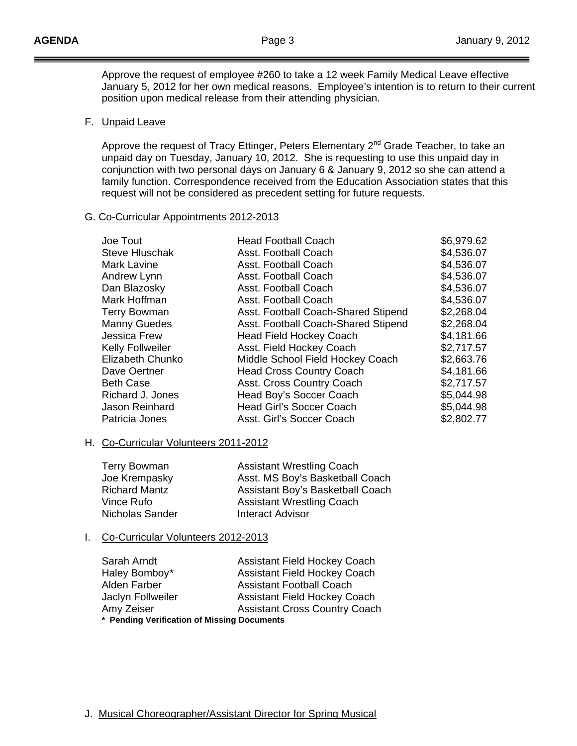Approve the request of employee #260 to take a 12 week Family Medical Leave effective January 5, 2012 for her own medical reasons. Employee's intention is to return to their current position upon medical release from their attending physician.

### F. Unpaid Leave

Approve the request of Tracy Ettinger, Peters Elementary 2<sup>nd</sup> Grade Teacher, to take an unpaid day on Tuesday, January 10, 2012. She is requesting to use this unpaid day in conjunction with two personal days on January 6 & January 9, 2012 so she can attend a family function. Correspondence received from the Education Association states that this request will not be considered as precedent setting for future requests.

### G. Co-Curricular Appointments 2012-2013

| Joe Tout                | <b>Head Football Coach</b>          | \$6,979.62 |
|-------------------------|-------------------------------------|------------|
| <b>Steve Hluschak</b>   | Asst. Football Coach                | \$4,536.07 |
| Mark Lavine             | Asst. Football Coach                | \$4,536.07 |
| Andrew Lynn             | Asst. Football Coach                | \$4,536.07 |
| Dan Blazosky            | Asst. Football Coach                | \$4,536.07 |
| Mark Hoffman            | Asst. Football Coach                | \$4,536.07 |
| <b>Terry Bowman</b>     | Asst. Football Coach-Shared Stipend | \$2,268.04 |
| <b>Manny Guedes</b>     | Asst. Football Coach-Shared Stipend | \$2,268.04 |
| Jessica Frew            | <b>Head Field Hockey Coach</b>      | \$4,181.66 |
| <b>Kelly Follweiler</b> | Asst. Field Hockey Coach            | \$2,717.57 |
| Elizabeth Chunko        | Middle School Field Hockey Coach    | \$2,663.76 |
| Dave Oertner            | <b>Head Cross Country Coach</b>     | \$4,181.66 |
| <b>Beth Case</b>        | Asst. Cross Country Coach           | \$2,717.57 |
| Richard J. Jones        | Head Boy's Soccer Coach             | \$5,044.98 |
| Jason Reinhard          | <b>Head Girl's Soccer Coach</b>     | \$5,044.98 |
| Patricia Jones          | Asst. Girl's Soccer Coach           | \$2,802.77 |
|                         |                                     |            |

## H. Co-Curricular Volunteers 2011-2012

| <b>Terry Bowman</b>  | <b>Assistant Wrestling Coach</b> |
|----------------------|----------------------------------|
| Joe Krempasky        | Asst. MS Boy's Basketball Coach  |
| <b>Richard Mantz</b> | Assistant Boy's Basketball Coach |
| Vince Rufo           | <b>Assistant Wrestling Coach</b> |
| Nicholas Sander      | <b>Interact Advisor</b>          |

### I. Co-Curricular Volunteers 2012-2013

| Sarah Arndt                                 | <b>Assistant Field Hockey Coach</b>  |  |
|---------------------------------------------|--------------------------------------|--|
| Haley Bomboy*                               | <b>Assistant Field Hockey Coach</b>  |  |
| Alden Farber                                | <b>Assistant Football Coach</b>      |  |
| Jaclyn Follweiler                           | <b>Assistant Field Hockey Coach</b>  |  |
| Amy Zeiser                                  | <b>Assistant Cross Country Coach</b> |  |
| * Pending Verification of Missing Documents |                                      |  |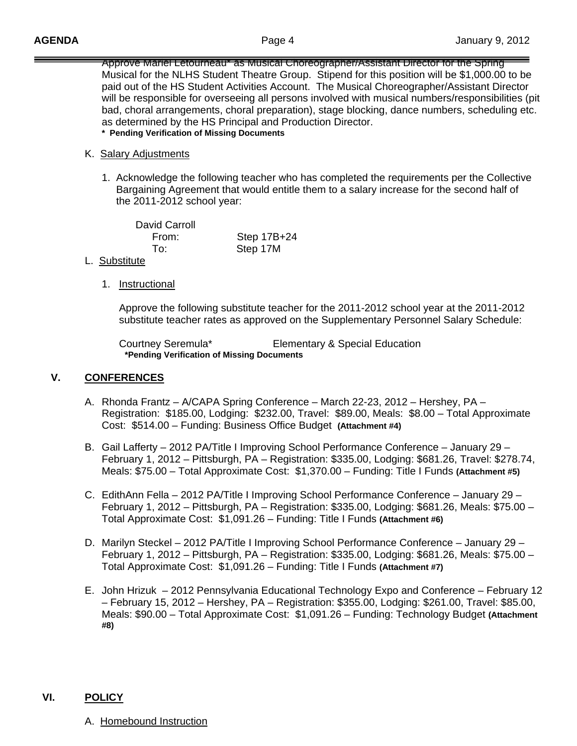Approve Mariel Letourneau\* as Musical Choreographer/Assistant Director for the Spring Musical for the NLHS Student Theatre Group. Stipend for this position will be \$1,000.00 to be paid out of the HS Student Activities Account. The Musical Choreographer/Assistant Director will be responsible for overseeing all persons involved with musical numbers/responsibilities (pit bad, choral arrangements, choral preparation), stage blocking, dance numbers, scheduling etc. as determined by the HS Principal and Production Director. **\* Pending Verification of Missing Documents** 

#### K. Salary Adjustments

 1. Acknowledge the following teacher who has completed the requirements per the Collective Bargaining Agreement that would entitle them to a salary increase for the second half of the 2011-2012 school year:

 David Carroll From: Step 17B+24 To: Step 17M

- L. Substitute
	- 1. Instructional

 Approve the following substitute teacher for the 2011-2012 school year at the 2011-2012 substitute teacher rates as approved on the Supplementary Personnel Salary Schedule:

 Courtney Seremula\* Elementary & Special Education **\*Pending Verification of Missing Documents**

### **V. CONFERENCES**

- A. Rhonda Frantz A/CAPA Spring Conference March 22-23, 2012 Hershey, PA Registration: \$185.00, Lodging: \$232.00, Travel: \$89.00, Meals: \$8.00 – Total Approximate Cost: \$514.00 – Funding: Business Office Budget **(Attachment #4)**
- B. Gail Lafferty 2012 PA/Title I Improving School Performance Conference January 29 February 1, 2012 – Pittsburgh, PA – Registration: \$335.00, Lodging: \$681.26, Travel: \$278.74, Meals: \$75.00 – Total Approximate Cost: \$1,370.00 – Funding: Title I Funds **(Attachment #5)**
- C. EdithAnn Fella 2012 PA/Title I Improving School Performance Conference January 29 February 1, 2012 – Pittsburgh, PA – Registration: \$335.00, Lodging: \$681.26, Meals: \$75.00 – Total Approximate Cost: \$1,091.26 – Funding: Title I Funds **(Attachment #6)**
- D. Marilyn Steckel 2012 PA/Title I Improving School Performance Conference January 29 February 1, 2012 – Pittsburgh, PA – Registration: \$335.00, Lodging: \$681.26, Meals: \$75.00 – Total Approximate Cost: \$1,091.26 – Funding: Title I Funds **(Attachment #7)**
- E. John Hrizuk 2012 Pennsylvania Educational Technology Expo and Conference February 12 – February 15, 2012 – Hershey, PA – Registration: \$355.00, Lodging: \$261.00, Travel: \$85.00, Meals: \$90.00 – Total Approximate Cost: \$1,091.26 – Funding: Technology Budget **(Attachment #8)**

### **VI. POLICY**

A.Homebound Instruction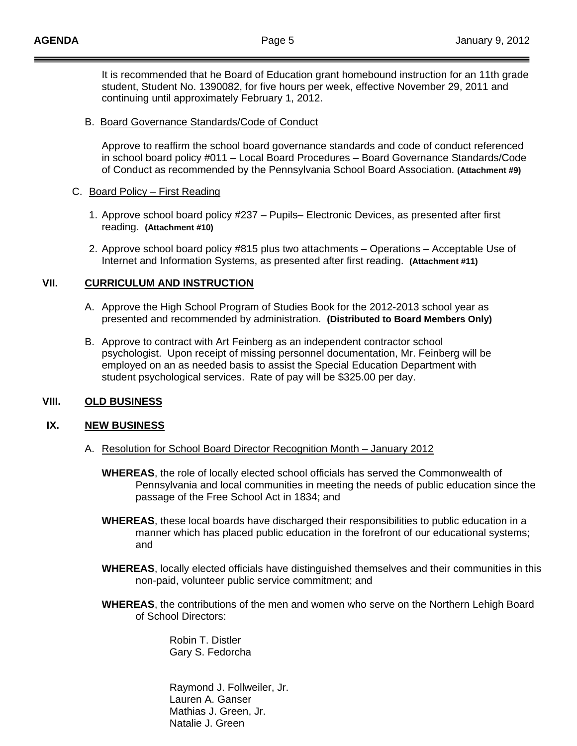It is recommended that he Board of Education grant homebound instruction for an 11th grade student, Student No. 1390082, for five hours per week, effective November 29, 2011 and continuing until approximately February 1, 2012.

### B. Board Governance Standards/Code of Conduct

Approve to reaffirm the school board governance standards and code of conduct referenced in school board policy #011 – Local Board Procedures – Board Governance Standards/Code of Conduct as recommended by the Pennsylvania School Board Association. **(Attachment #9)** 

### C. Board Policy – First Reading

- 1. Approve school board policy #237 Pupils– Electronic Devices, as presented after first reading. **(Attachment #10)**
- 2. Approve school board policy #815 plus two attachments Operations Acceptable Use of Internet and Information Systems, as presented after first reading. **(Attachment #11)**

## **VII. CURRICULUM AND INSTRUCTION**

- A. Approve the High School Program of Studies Book for the 2012-2013 school year as presented and recommended by administration. **(Distributed to Board Members Only)**
- B. Approve to contract with Art Feinberg as an independent contractor school psychologist. Upon receipt of missing personnel documentation, Mr. Feinberg will be employed on an as needed basis to assist the Special Education Department with student psychological services. Rate of pay will be \$325.00 per day.

### **VIII. OLD BUSINESS**

### **IX. NEW BUSINESS**

- A. Resolution for School Board Director Recognition Month January 2012
	- **WHEREAS**, the role of locally elected school officials has served the Commonwealth of Pennsylvania and local communities in meeting the needs of public education since the passage of the Free School Act in 1834; and
	- **WHEREAS**, these local boards have discharged their responsibilities to public education in a manner which has placed public education in the forefront of our educational systems; and
	- **WHEREAS**, locally elected officials have distinguished themselves and their communities in this non-paid, volunteer public service commitment; and
	- **WHEREAS**, the contributions of the men and women who serve on the Northern Lehigh Board of School Directors:

 Robin T. Distler Gary S. Fedorcha

 Raymond J. Follweiler, Jr. Lauren A. Ganser Mathias J. Green, Jr. Natalie J. Green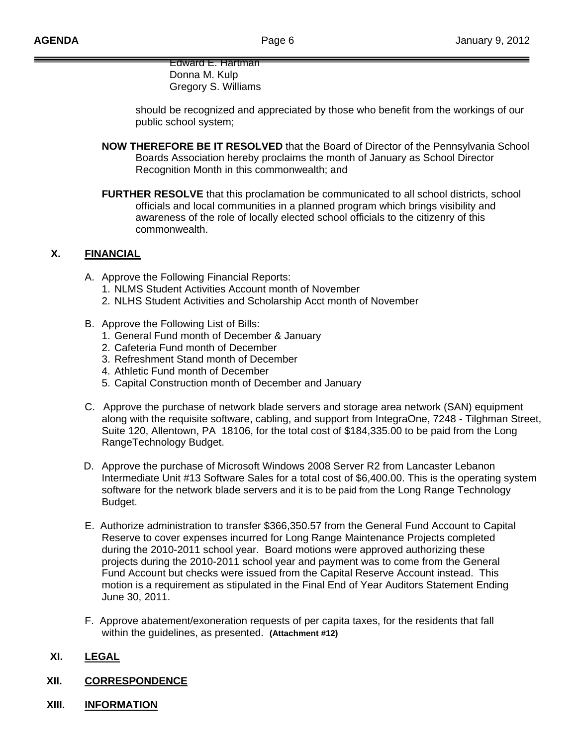Edward E. Hartman Donna M. Kulp Gregory S. Williams

 should be recognized and appreciated by those who benefit from the workings of our public school system;

- **NOW THEREFORE BE IT RESOLVED** that the Board of Director of the Pennsylvania School Boards Association hereby proclaims the month of January as School Director Recognition Month in this commonwealth; and
- **FURTHER RESOLVE** that this proclamation be communicated to all school districts, school officials and local communities in a planned program which brings visibility and awareness of the role of locally elected school officials to the citizenry of this commonwealth.

# **X. FINANCIAL**

- A. Approve the Following Financial Reports:
	- 1. NLMS Student Activities Account month of November
	- 2. NLHS Student Activities and Scholarship Acct month of November
- B. Approve the Following List of Bills:
	- 1. General Fund month of December & January
	- 2. Cafeteria Fund month of December
	- 3. Refreshment Stand month of December
	- 4. Athletic Fund month of December
	- 5. Capital Construction month of December and January
- C. Approve the purchase of network blade servers and storage area network (SAN) equipment along with the requisite software, cabling, and support from IntegraOne, 7248 - Tilghman Street, Suite 120, Allentown, PA 18106, for the total cost of \$184,335.00 to be paid from the Long RangeTechnology Budget.
- D. Approve the purchase of Microsoft Windows 2008 Server R2 from Lancaster Lebanon Intermediate Unit #13 Software Sales for a total cost of \$6,400.00. This is the operating system software for the network blade servers and it is to be paid from the Long Range Technology Budget.
- E. Authorize administration to transfer \$366,350.57 from the General Fund Account to Capital Reserve to cover expenses incurred for Long Range Maintenance Projects completed during the 2010-2011 school year. Board motions were approved authorizing these projects during the 2010-2011 school year and payment was to come from the General Fund Account but checks were issued from the Capital Reserve Account instead. This motion is a requirement as stipulated in the Final End of Year Auditors Statement Ending June 30, 2011.
- F. Approve abatement/exoneration requests of per capita taxes, for the residents that fall within the guidelines, as presented. **(Attachment #12)**

# **XI. LEGAL**

## **XII. CORRESPONDENCE**

**XIII. INFORMATION**